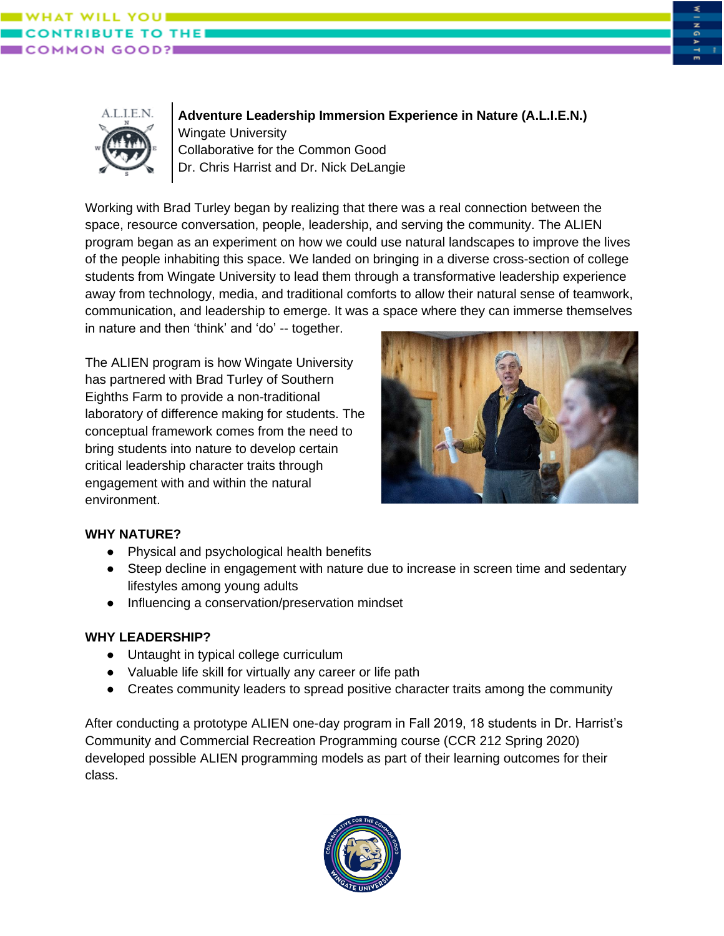





**Adventure Leadership Immersion Experience in Nature (A.L.I.E.N.)** Wingate University Collaborative for the Common Good Dr. Chris Harrist and Dr. Nick DeLangie

Working with Brad Turley began by realizing that there was a real connection between the space, resource conversation, people, leadership, and serving the community. The ALIEN program began as an experiment on how we could use natural landscapes to improve the lives of the people inhabiting this space. We landed on bringing in a diverse cross-section of college students from Wingate University to lead them through a transformative leadership experience away from technology, media, and traditional comforts to allow their natural sense of teamwork, communication, and leadership to emerge. It was a space where they can immerse themselves in nature and then 'think' and 'do' -- together.

The ALIEN program is how Wingate University has partnered with Brad Turley of Southern Eighths Farm to provide a non-traditional laboratory of difference making for students. The conceptual framework comes from the need to bring students into nature to develop certain critical leadership character traits through engagement with and within the natural environment.



## **WHY NATURE?**

- Physical and psychological health benefits
- Steep decline in engagement with nature due to increase in screen time and sedentary lifestyles among young adults
- Influencing a conservation/preservation mindset

## **WHY LEADERSHIP?**

- Untaught in typical college curriculum
- Valuable life skill for virtually any career or life path
- Creates community leaders to spread positive character traits among the community

After conducting a prototype ALIEN one-day program in Fall 2019, 18 students in Dr. Harrist's Community and Commercial Recreation Programming course (CCR 212 Spring 2020) developed possible ALIEN programming models as part of their learning outcomes for their class.

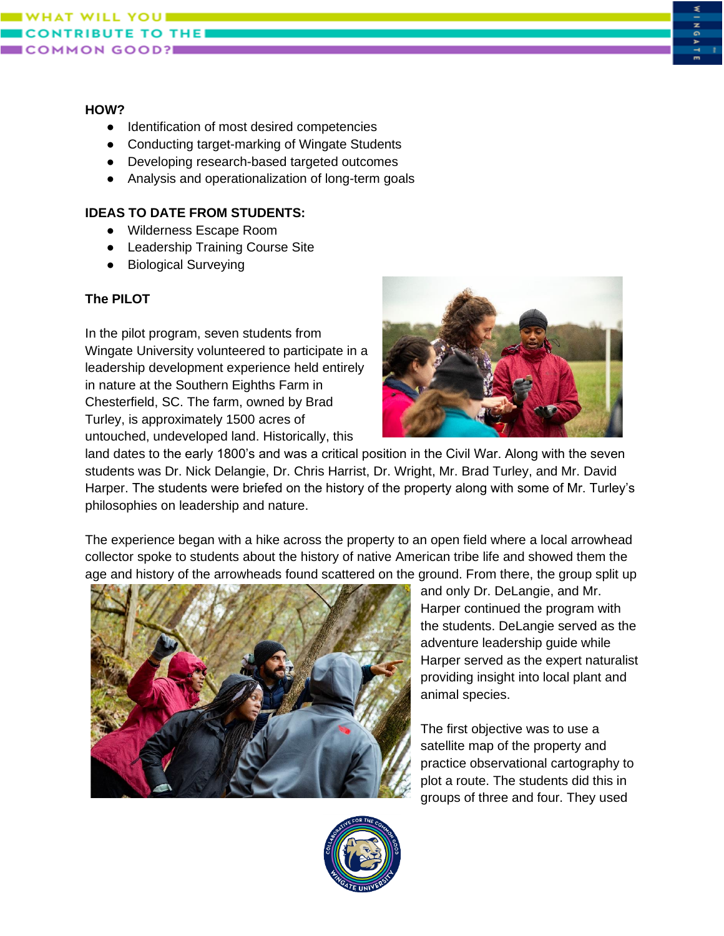

#### **HOW?**

- Identification of most desired competencies
- Conducting target-marking of Wingate Students
- Developing research-based targeted outcomes
- Analysis and operationalization of long-term goals

### **IDEAS TO DATE FROM STUDENTS:**

- Wilderness Escape Room
- Leadership Training Course Site
- Biological Surveying

## **The PILOT**

In the pilot program, seven students from Wingate University volunteered to participate in a leadership development experience held entirely in nature at the Southern Eighths Farm in Chesterfield, SC. The farm, owned by Brad Turley, is approximately 1500 acres of untouched, undeveloped land. Historically, this



land dates to the early 1800's and was a critical position in the Civil War. Along with the seven students was Dr. Nick Delangie, Dr. Chris Harrist, Dr. Wright, Mr. Brad Turley, and Mr. David Harper. The students were briefed on the history of the property along with some of Mr. Turley's philosophies on leadership and nature.

The experience began with a hike across the property to an open field where a local arrowhead collector spoke to students about the history of native American tribe life and showed them the age and history of the arrowheads found scattered on the ground. From there, the group split up



and only Dr. DeLangie, and Mr. Harper continued the program with the students. DeLangie served as the adventure leadership guide while Harper served as the expert naturalist providing insight into local plant and animal species.

The first objective was to use a satellite map of the property and practice observational cartography to plot a route. The students did this in groups of three and four. They used

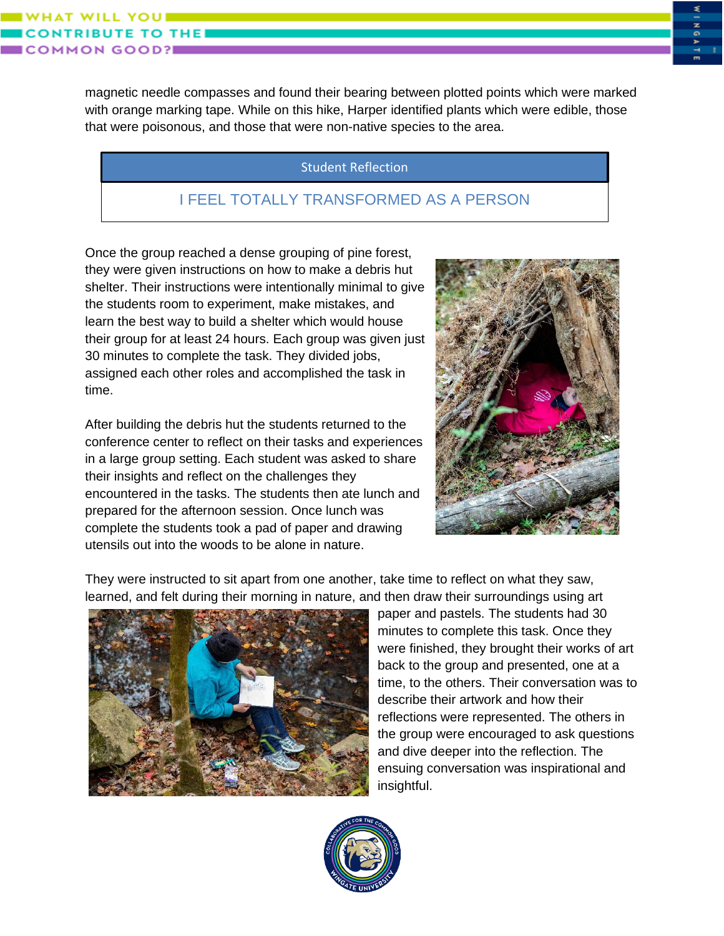ILL YOU

magnetic needle compasses and found their bearing between plotted points which were marked with orange marking tape. While on this hike, Harper identified plants which were edible, those that were poisonous, and those that were non-native species to the area.

## Student Reflection

# I FEEL TOTALLY TRANSFORMED AS A PERSON

Once the group reached a dense grouping of pine forest, they were given instructions on how to make a debris hut shelter. Their instructions were intentionally minimal to give the students room to experiment, make mistakes, and learn the best way to build a shelter which would house their group for at least 24 hours. Each group was given just 30 minutes to complete the task. They divided jobs, assigned each other roles and accomplished the task in time.

After building the debris hut the students returned to the conference center to reflect on their tasks and experiences in a large group setting. Each student was asked to share their insights and reflect on the challenges they encountered in the tasks. The students then ate lunch and prepared for the afternoon session. Once lunch was complete the students took a pad of paper and drawing utensils out into the woods to be alone in nature.



They were instructed to sit apart from one another, take time to reflect on what they saw, learned, and felt during their morning in nature, and then draw their surroundings using art



paper and pastels. The students had 30 minutes to complete this task. Once they were finished, they brought their works of art back to the group and presented, one at a time, to the others. Their conversation was to describe their artwork and how their reflections were represented. The others in the group were encouraged to ask questions and dive deeper into the reflection. The ensuing conversation was inspirational and insightful.

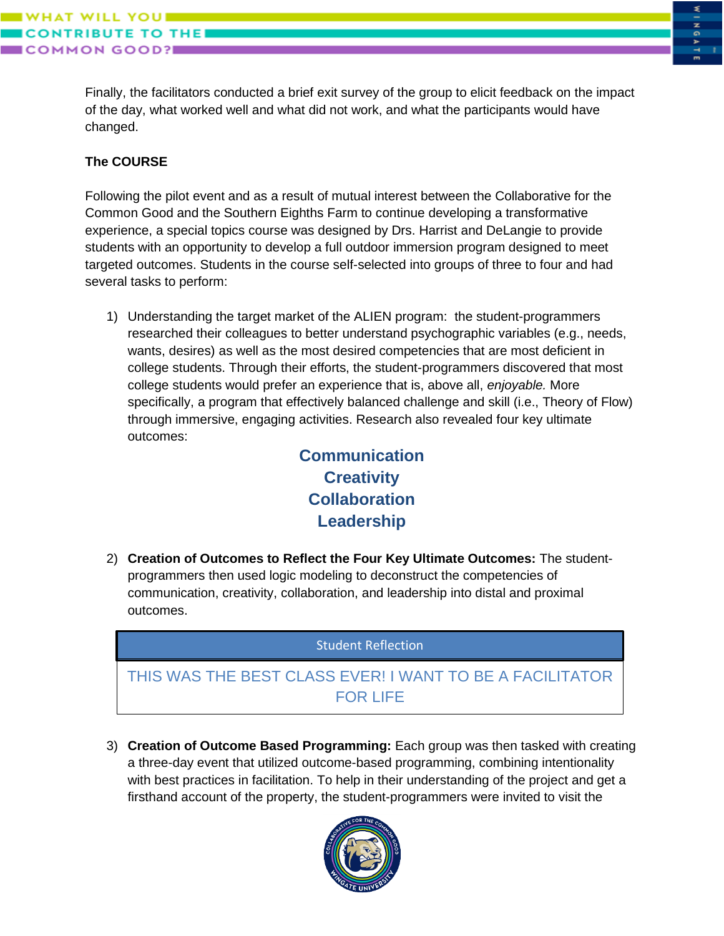Finally, the facilitators conducted a brief exit survey of the group to elicit feedback on the impact of the day, what worked well and what did not work, and what the participants would have changed.

## **The COURSE**

WILL YOUI

**IMON GOOD?I** 

**UTE TO THE** 

Following the pilot event and as a result of mutual interest between the Collaborative for the Common Good and the Southern Eighths Farm to continue developing a transformative experience, a special topics course was designed by Drs. Harrist and DeLangie to provide students with an opportunity to develop a full outdoor immersion program designed to meet targeted outcomes. Students in the course self-selected into groups of three to four and had several tasks to perform:

1) Understanding the target market of the ALIEN program: the student-programmers researched their colleagues to better understand psychographic variables (e.g., needs, wants, desires) as well as the most desired competencies that are most deficient in college students. Through their efforts, the student-programmers discovered that most college students would prefer an experience that is, above all, *enjoyable.* More specifically, a program that effectively balanced challenge and skill (i.e., Theory of Flow) through immersive, engaging activities. Research also revealed four key ultimate outcomes:

> **Communication Creativity Collaboration Leadership**

2) **Creation of Outcomes to Reflect the Four Key Ultimate Outcomes:** The studentprogrammers then used logic modeling to deconstruct the competencies of communication, creativity, collaboration, and leadership into distal and proximal outcomes.

**Student Reflection** 

# THIS WAS THE BEST CLASS EVER! I WANT TO BE A FACILITATOR FOR LIFE

3) **Creation of Outcome Based Programming:** Each group was then tasked with creating a three-day event that utilized outcome-based programming, combining intentionality with best practices in facilitation. To help in their understanding of the project and get a firsthand account of the property, the student-programmers were invited to visit the